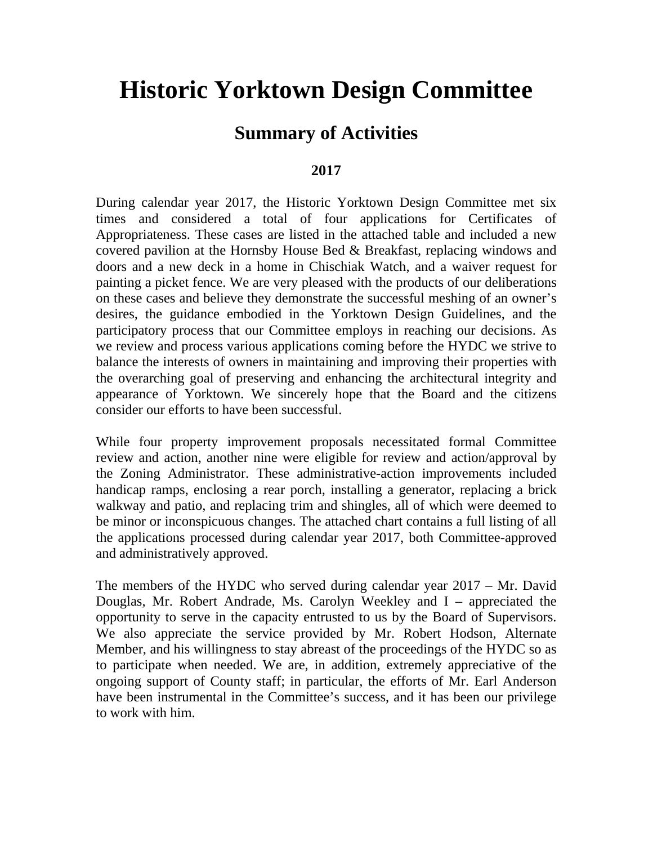# **Historic Yorktown Design Committee**

#### **Summary of Activities**

#### **2017**

During calendar year 2017, the Historic Yorktown Design Committee met six times and considered a total of four applications for Certificates of Appropriateness. These cases are listed in the attached table and included a new covered pavilion at the Hornsby House Bed & Breakfast, replacing windows and doors and a new deck in a home in Chischiak Watch, and a waiver request for painting a picket fence. We are very pleased with the products of our deliberations on these cases and believe they demonstrate the successful meshing of an owner's desires, the guidance embodied in the Yorktown Design Guidelines, and the participatory process that our Committee employs in reaching our decisions. As we review and process various applications coming before the HYDC we strive to balance the interests of owners in maintaining and improving their properties with the overarching goal of preserving and enhancing the architectural integrity and appearance of Yorktown. We sincerely hope that the Board and the citizens consider our efforts to have been successful.

While four property improvement proposals necessitated formal Committee review and action, another nine were eligible for review and action/approval by the Zoning Administrator. These administrative-action improvements included handicap ramps, enclosing a rear porch, installing a generator, replacing a brick walkway and patio, and replacing trim and shingles, all of which were deemed to be minor or inconspicuous changes. The attached chart contains a full listing of all the applications processed during calendar year 2017, both Committee-approved and administratively approved.

The members of the HYDC who served during calendar year 2017 – Mr. David Douglas, Mr. Robert Andrade, Ms. Carolyn Weekley and I – appreciated the opportunity to serve in the capacity entrusted to us by the Board of Supervisors. We also appreciate the service provided by Mr. Robert Hodson, Alternate Member, and his willingness to stay abreast of the proceedings of the HYDC so as to participate when needed. We are, in addition, extremely appreciative of the ongoing support of County staff; in particular, the efforts of Mr. Earl Anderson have been instrumental in the Committee's success, and it has been our privilege to work with him.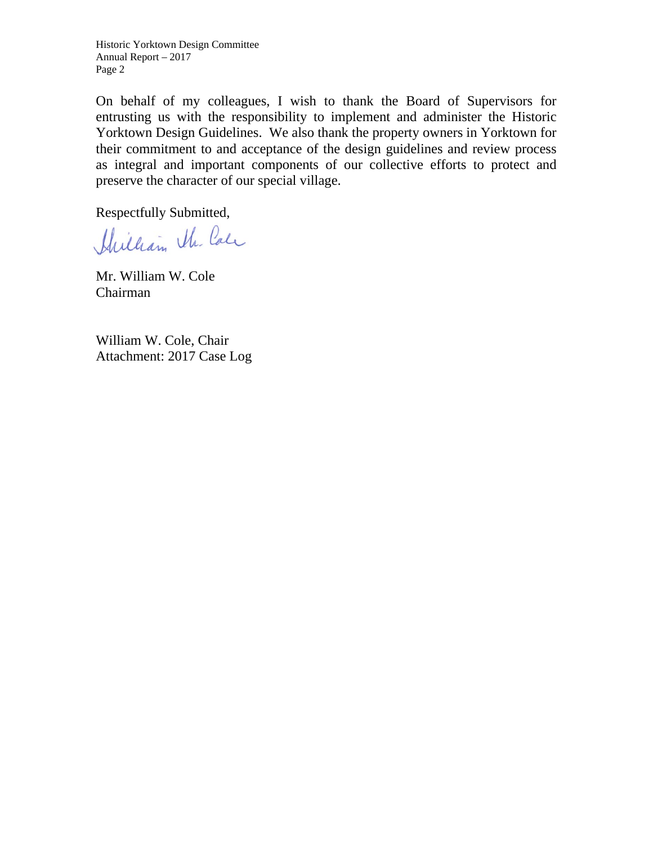Historic Yorktown Design Committee Annual Report – 2017 Page 2

On behalf of my colleagues, I wish to thank the Board of Supervisors for entrusting us with the responsibility to implement and administer the Historic Yorktown Design Guidelines. We also thank the property owners in Yorktown for their commitment to and acceptance of the design guidelines and review process as integral and important components of our collective efforts to protect and preserve the character of our special village.

Respectfully Submitted,

Hilliam the Cale

Mr. William W. Cole Chairman

William W. Cole, Chair Attachment: 2017 Case Log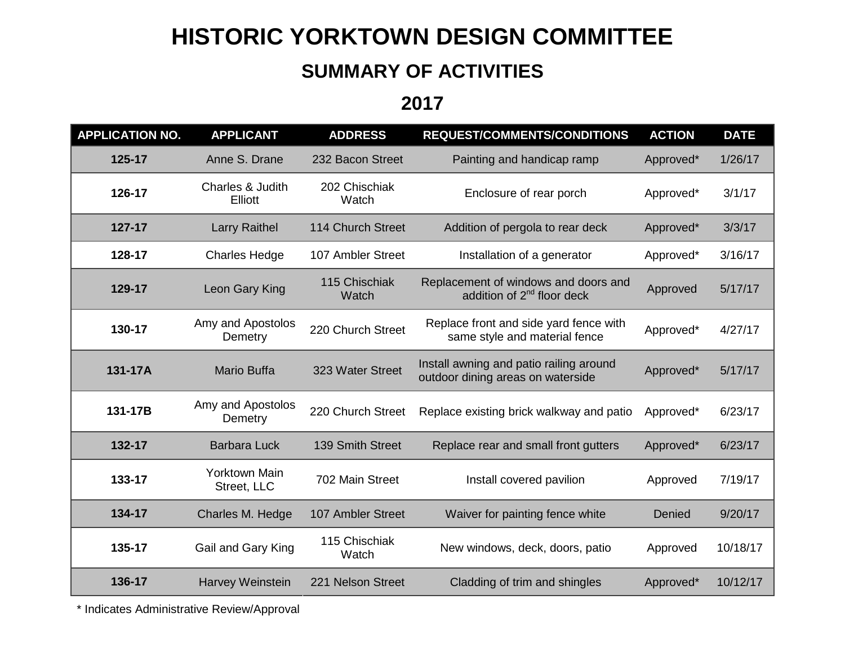# **HISTORIC YORKTOWN DESIGN COMMITTEE**

## **SUMMARY OF ACTIVITIES**

**2017**

| <b>APPLICATION NO.</b> | <b>APPLICANT</b>             | <b>ADDRESS</b>         | <b>REQUEST/COMMENTS/CONDITIONS</b>                                             | <b>ACTION</b> | <b>DATE</b> |
|------------------------|------------------------------|------------------------|--------------------------------------------------------------------------------|---------------|-------------|
| 125-17                 | Anne S. Drane                | 232 Bacon Street       | Painting and handicap ramp                                                     | Approved*     | 1/26/17     |
| 126-17                 | Charles & Judith<br>Elliott  | 202 Chischiak<br>Watch | Enclosure of rear porch                                                        | Approved*     | 3/1/17      |
| 127-17                 | <b>Larry Raithel</b>         | 114 Church Street      | Addition of pergola to rear deck                                               | Approved*     | 3/3/17      |
| 128-17                 | <b>Charles Hedge</b>         | 107 Ambler Street      | Installation of a generator                                                    | Approved*     | 3/16/17     |
| 129-17                 | Leon Gary King               | 115 Chischiak<br>Watch | Replacement of windows and doors and<br>addition of 2 <sup>nd</sup> floor deck | Approved      | 5/17/17     |
| 130-17                 | Amy and Apostolos<br>Demetry | 220 Church Street      | Replace front and side yard fence with<br>same style and material fence        | Approved*     | 4/27/17     |
| 131-17A                | <b>Mario Buffa</b>           | 323 Water Street       | Install awning and patio railing around<br>outdoor dining areas on waterside   | Approved*     | 5/17/17     |
| 131-17B                | Amy and Apostolos<br>Demetry | 220 Church Street      | Replace existing brick walkway and patio                                       | Approved*     | 6/23/17     |
| 132-17                 | <b>Barbara Luck</b>          | 139 Smith Street       | Replace rear and small front gutters                                           | Approved*     | 6/23/17     |
| 133-17                 | Yorktown Main<br>Street, LLC | 702 Main Street        | Install covered pavilion                                                       | Approved      | 7/19/17     |
| 134-17                 | Charles M. Hedge             | 107 Ambler Street      | Waiver for painting fence white                                                | Denied        | 9/20/17     |
| 135-17                 | Gail and Gary King           | 115 Chischiak<br>Watch | New windows, deck, doors, patio                                                | Approved      | 10/18/17    |
| 136-17                 | Harvey Weinstein             | 221 Nelson Street      | Cladding of trim and shingles                                                  | Approved*     | 10/12/17    |

\* Indicates Administrative Review/Approval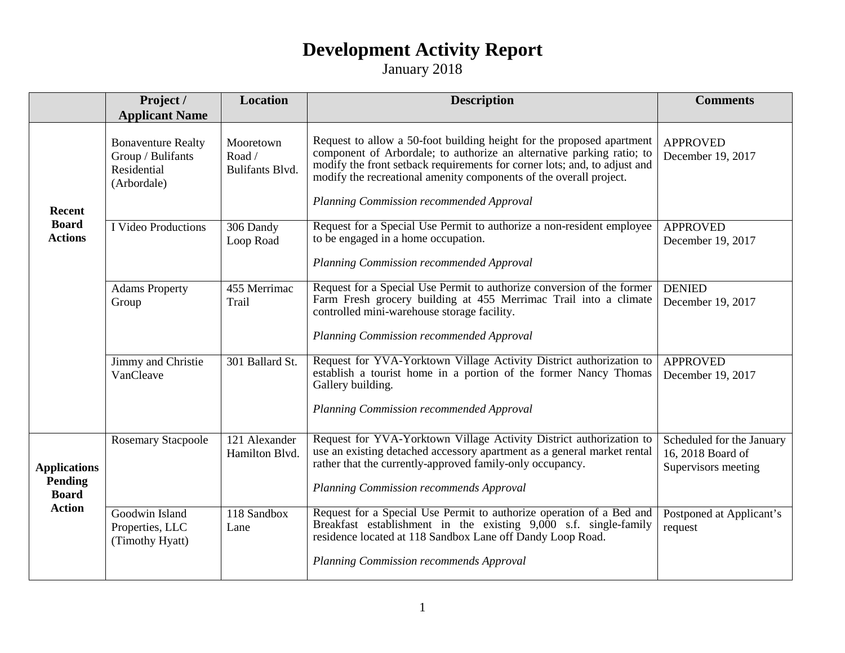#### **Development Activity Report**

January 2018

|                                                                 | Project /<br><b>Applicant Name</b>                                           | Location                               | <b>Description</b>                                                                                                                                                                                                                                                                                                                            | <b>Comments</b>                                                       |
|-----------------------------------------------------------------|------------------------------------------------------------------------------|----------------------------------------|-----------------------------------------------------------------------------------------------------------------------------------------------------------------------------------------------------------------------------------------------------------------------------------------------------------------------------------------------|-----------------------------------------------------------------------|
| Recent<br><b>Board</b><br><b>Actions</b>                        | <b>Bonaventure Realty</b><br>Group / Bulifants<br>Residential<br>(Arbordale) | Mooretown<br>Road /<br>Bulifants Blvd. | Request to allow a 50-foot building height for the proposed apartment<br>component of Arbordale; to authorize an alternative parking ratio; to<br>modify the front setback requirements for corner lots; and, to adjust and<br>modify the recreational amenity components of the overall project.<br>Planning Commission recommended Approval | <b>APPROVED</b><br>December 19, 2017                                  |
|                                                                 | I Video Productions                                                          | 306 Dandy<br>Loop Road                 | Request for a Special Use Permit to authorize a non-resident employee<br>to be engaged in a home occupation.<br>Planning Commission recommended Approval                                                                                                                                                                                      | <b>APPROVED</b><br>December 19, 2017                                  |
|                                                                 | <b>Adams Property</b><br>Group                                               | 455 Merrimac<br>Trail                  | Request for a Special Use Permit to authorize conversion of the former<br>Farm Fresh grocery building at 455 Merrimac Trail into a climate<br>controlled mini-warehouse storage facility.<br>Planning Commission recommended Approval                                                                                                         | <b>DENIED</b><br>December 19, 2017                                    |
|                                                                 | Jimmy and Christie<br>VanCleave                                              | 301 Ballard St.                        | Request for YVA-Yorktown Village Activity District authorization to<br>establish a tourist home in a portion of the former Nancy Thomas<br>Gallery building.<br>Planning Commission recommended Approval                                                                                                                                      | <b>APPROVED</b><br>December 19, 2017                                  |
| <b>Applications</b><br>Pending<br><b>Board</b><br><b>Action</b> | <b>Rosemary Stacpoole</b>                                                    | 121 Alexander<br>Hamilton Blvd.        | Request for YVA-Yorktown Village Activity District authorization to<br>use an existing detached accessory apartment as a general market rental<br>rather that the currently-approved family-only occupancy.<br>Planning Commission recommends Approval                                                                                        | Scheduled for the January<br>16, 2018 Board of<br>Supervisors meeting |
|                                                                 | Goodwin Island<br>Properties, LLC<br>(Timothy Hyatt)                         | 118 Sandbox<br>Lane                    | Request for a Special Use Permit to authorize operation of a Bed and<br>Breakfast establishment in the existing 9,000 s.f. single-family<br>residence located at 118 Sandbox Lane off Dandy Loop Road.<br>Planning Commission recommends Approval                                                                                             | Postponed at Applicant's<br>request                                   |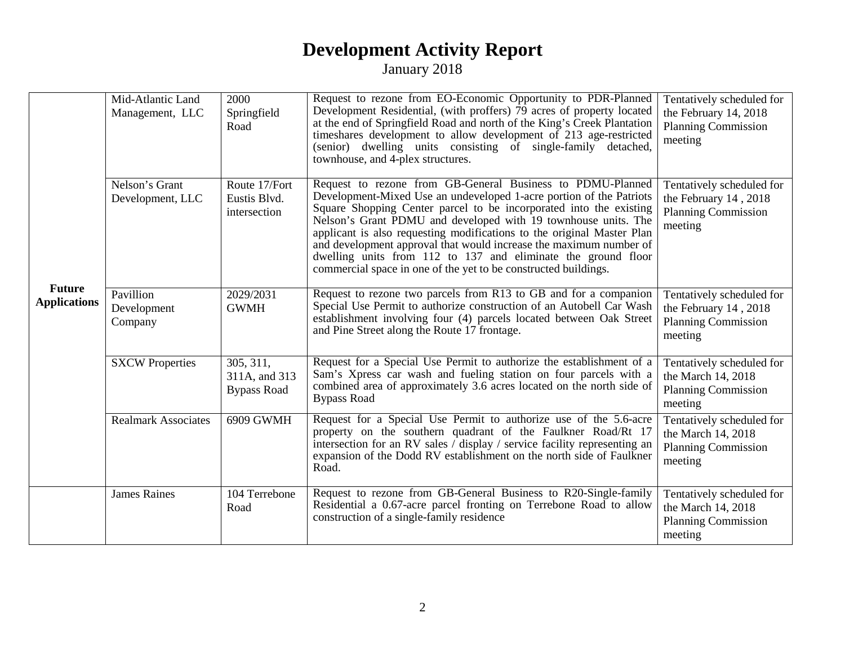#### **Development Activity Report**

January 2018

|                                      | Mid-Atlantic Land<br>Management, LLC | 2000<br>Springfield<br>Road                      | Request to rezone from EO-Economic Opportunity to PDR-Planned<br>Development Residential, (with proffers) 79 acres of property located<br>at the end of Springfield Road and north of the King's Creek Plantation<br>timeshares development to allow development of 213 age-restricted<br>(senior) dwelling units consisting of single-family detached,<br>townhouse, and 4-plex structures.                                                                                                                                                                  | Tentatively scheduled for<br>the February 14, 2018<br><b>Planning Commission</b><br>meeting |
|--------------------------------------|--------------------------------------|--------------------------------------------------|---------------------------------------------------------------------------------------------------------------------------------------------------------------------------------------------------------------------------------------------------------------------------------------------------------------------------------------------------------------------------------------------------------------------------------------------------------------------------------------------------------------------------------------------------------------|---------------------------------------------------------------------------------------------|
| <b>Future</b><br><b>Applications</b> | Nelson's Grant<br>Development, LLC   | Route 17/Fort<br>Eustis Blvd.<br>intersection    | Request to rezone from GB-General Business to PDMU-Planned<br>Development-Mixed Use an undeveloped 1-acre portion of the Patriots<br>Square Shopping Center parcel to be incorporated into the existing<br>Nelson's Grant PDMU and developed with 19 townhouse units. The<br>applicant is also requesting modifications to the original Master Plan<br>and development approval that would increase the maximum number of<br>dwelling units from 112 to 137 and eliminate the ground floor<br>commercial space in one of the yet to be constructed buildings. | Tentatively scheduled for<br>the February 14, 2018<br><b>Planning Commission</b><br>meeting |
|                                      | Pavillion<br>Development<br>Company  | 2029/2031<br><b>GWMH</b>                         | Request to rezone two parcels from R13 to GB and for a companion<br>Special Use Permit to authorize construction of an Autobell Car Wash<br>establishment involving four (4) parcels located between Oak Street<br>and Pine Street along the Route 17 frontage.                                                                                                                                                                                                                                                                                               | Tentatively scheduled for<br>the February 14, 2018<br><b>Planning Commission</b><br>meeting |
|                                      | <b>SXCW Properties</b>               | 305, 311,<br>311A, and 313<br><b>Bypass Road</b> | Request for a Special Use Permit to authorize the establishment of a<br>Sam's Xpress car wash and fueling station on four parcels with a<br>combined area of approximately 3.6 acres located on the north side of<br><b>Bypass Road</b>                                                                                                                                                                                                                                                                                                                       | Tentatively scheduled for<br>the March 14, 2018<br><b>Planning Commission</b><br>meeting    |
|                                      | <b>Realmark Associates</b>           | 6909 GWMH                                        | Request for a Special Use Permit to authorize use of the 5.6-acre<br>property on the southern quadrant of the Faulkner Road/Rt 17<br>intersection for an RV sales $\overline{\phantom{a}}$ display / service facility representing an<br>expansion of the Dodd RV establishment on the north side of Faulkner<br>Road.                                                                                                                                                                                                                                        | Tentatively scheduled for<br>the March 14, 2018<br><b>Planning Commission</b><br>meeting    |
|                                      | <b>James Raines</b>                  | 104 Terrebone<br>Road                            | Request to rezone from GB-General Business to R20-Single-family<br>Residential a 0.67-acre parcel fronting on Terrebone Road to allow<br>construction of a single-family residence                                                                                                                                                                                                                                                                                                                                                                            | Tentatively scheduled for<br>the March 14, 2018<br><b>Planning Commission</b><br>meeting    |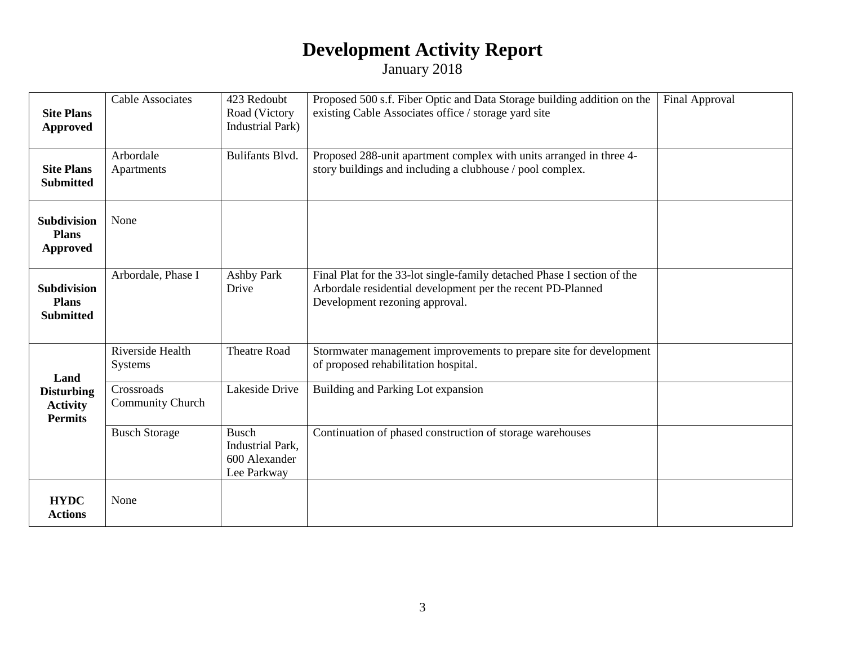### **Development Activity Report**

January 2018

| <b>Site Plans</b><br><b>Approved</b>                   | <b>Cable Associates</b>        | 423 Redoubt<br>Road (Victory<br><b>Industrial Park)</b>          | Proposed 500 s.f. Fiber Optic and Data Storage building addition on the<br>existing Cable Associates office / storage yard site                                          | Final Approval |
|--------------------------------------------------------|--------------------------------|------------------------------------------------------------------|--------------------------------------------------------------------------------------------------------------------------------------------------------------------------|----------------|
| <b>Site Plans</b><br><b>Submitted</b>                  | Arbordale<br>Apartments        | Bulifants Blvd.                                                  | Proposed 288-unit apartment complex with units arranged in three 4-<br>story buildings and including a clubhouse / pool complex.                                         |                |
| Subdivision<br><b>Plans</b><br><b>Approved</b>         | None                           |                                                                  |                                                                                                                                                                          |                |
| <b>Subdivision</b><br><b>Plans</b><br><b>Submitted</b> | Arbordale, Phase I             | <b>Ashby Park</b><br>Drive                                       | Final Plat for the 33-lot single-family detached Phase I section of the<br>Arbordale residential development per the recent PD-Planned<br>Development rezoning approval. |                |
| Land                                                   | Riverside Health<br>Systems    | <b>Theatre Road</b>                                              | Stormwater management improvements to prepare site for development<br>of proposed rehabilitation hospital.                                                               |                |
| <b>Disturbing</b><br><b>Activity</b><br><b>Permits</b> | Crossroads<br>Community Church | Lakeside Drive                                                   | Building and Parking Lot expansion                                                                                                                                       |                |
|                                                        | <b>Busch Storage</b>           | <b>Busch</b><br>Industrial Park,<br>600 Alexander<br>Lee Parkway | Continuation of phased construction of storage warehouses                                                                                                                |                |
| <b>HYDC</b><br><b>Actions</b>                          | None                           |                                                                  |                                                                                                                                                                          |                |